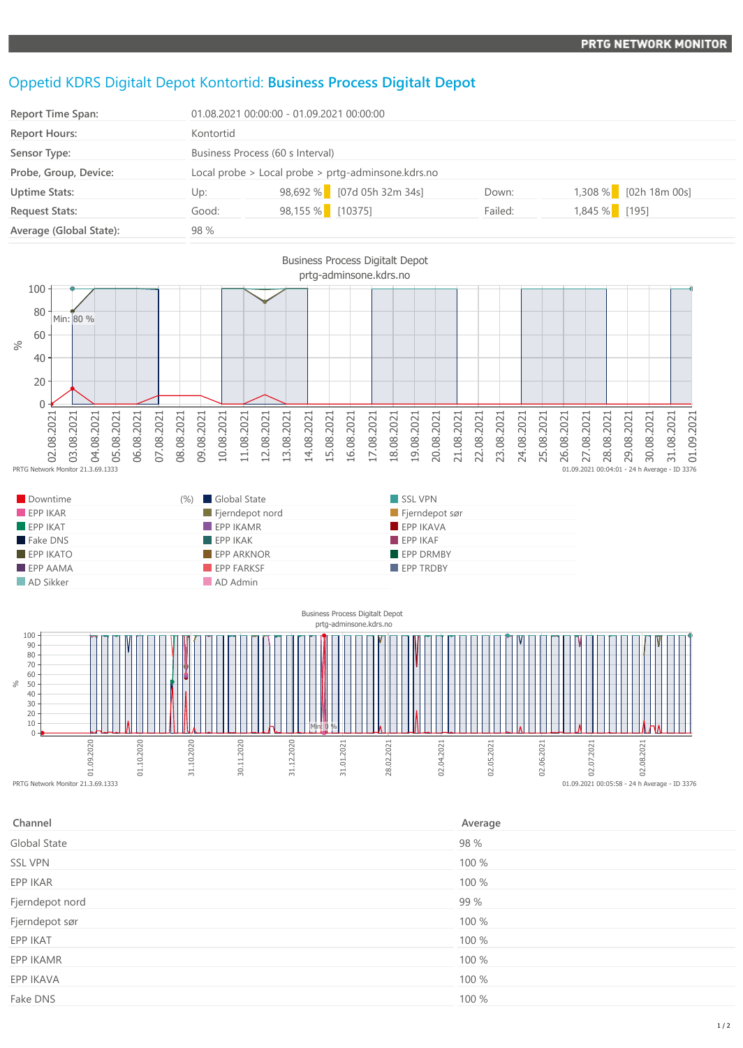## Oppetid KDRS Digitalt Depot Kontortid: **Business Process Digitalt Depot**

| Report Time Span:       |           | 01.08.2021 00:00:00 - 01.09.2021 00:00:00          |         |                       |
|-------------------------|-----------|----------------------------------------------------|---------|-----------------------|
| <b>Report Hours:</b>    | Kontortid |                                                    |         |                       |
| Sensor Type:            |           | Business Process (60 s Interval)                   |         |                       |
| Probe, Group, Device:   |           | Local probe > Local probe > prtg-adminsone.kdrs.no |         |                       |
| <b>Uptime Stats:</b>    | Up:       | 98,692 % [07d 05h 32m 34s]                         | Down:   | 1,308 % [02h 18m 00s] |
| <b>Request Stats:</b>   | Good:     | 98,155 % [10375]                                   | Failed: | $1,845%$ [195]        |
| Average (Global State): | 98 %      |                                                    |         |                       |



| Downtime                | $(\%)$ | Global State                   | SSL VPN          |
|-------------------------|--------|--------------------------------|------------------|
| EPPIKAR                 |        | $\blacksquare$ Fjerndepot nord | Fjerndepot sør   |
| $\blacksquare$ EPP IKAT |        | $\blacksquare$ EPP IKAMR       | <b>EPP IKAVA</b> |
| Fake DNS                |        | EPPIKAK                        | $EPP$ IKAF       |
| $EPP$ IKATO             |        | <b>EPP ARKNOR</b>              | <b>EPP DRMBY</b> |
| $\blacksquare$ EPP AAMA |        | <b>EPP FARKSF</b>              | <b>EPP TRDBY</b> |
| AD Sikker               |        | AD Admin                       |                  |



| Channel         | Average |
|-----------------|---------|
| Global State    | 98 %    |
| <b>SSL VPN</b>  | 100 %   |
| EPP IKAR        | 100 %   |
| Fjerndepot nord | 99 %    |
| Fjerndepot sør  | 100 %   |
| EPP IKAT        | 100 %   |
| EPP IKAMR       | 100 %   |
| EPP IKAVA       | 100 %   |
| Fake DNS        | 100 %   |
|                 |         |